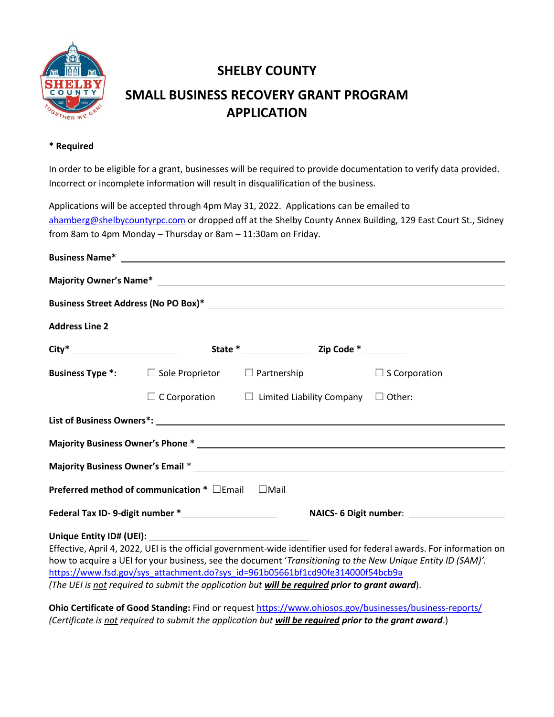

## **SHELBY COUNTY**

# **SMALL BUSINESS RECOVERY GRANT PROGRAM APPLICATION**

#### **\* Required**

In order to be eligible for a grant, businesses will be required to provide documentation to verify data provided. Incorrect or incomplete information will result in disqualification of the business.

Applications will be accepted through 4pm May 31, 2022. Applications can be emailed to [ahamberg@shelbycountyrpc.com](mailto:ahamberg@shelbycountyrpc.com) or dropped off at the Shelby County Annex Building, 129 East Court St., Sidney from 8am to 4pm Monday – Thursday or 8am – 11:30am on Friday.

| <b>Business Name*</b> Property of the second service of the service of the service of the service of the service of the service of the service of the service of the service of the service of the service of the service of the se |                                                       |                                                                                                                                                                                              |                                                                                                                      |  |  |  |  |
|-------------------------------------------------------------------------------------------------------------------------------------------------------------------------------------------------------------------------------------|-------------------------------------------------------|----------------------------------------------------------------------------------------------------------------------------------------------------------------------------------------------|----------------------------------------------------------------------------------------------------------------------|--|--|--|--|
|                                                                                                                                                                                                                                     |                                                       |                                                                                                                                                                                              |                                                                                                                      |  |  |  |  |
|                                                                                                                                                                                                                                     |                                                       |                                                                                                                                                                                              |                                                                                                                      |  |  |  |  |
|                                                                                                                                                                                                                                     |                                                       |                                                                                                                                                                                              |                                                                                                                      |  |  |  |  |
|                                                                                                                                                                                                                                     |                                                       |                                                                                                                                                                                              |                                                                                                                      |  |  |  |  |
|                                                                                                                                                                                                                                     |                                                       | <b>Business Type *:</b> $\Box$ Sole Proprietor $\Box$ Partnership                                                                                                                            | $\Box$ S Corporation                                                                                                 |  |  |  |  |
|                                                                                                                                                                                                                                     |                                                       | $\Box$ C Corporation $\Box$ Limited Liability Company $\Box$ Other:                                                                                                                          |                                                                                                                      |  |  |  |  |
|                                                                                                                                                                                                                                     |                                                       |                                                                                                                                                                                              |                                                                                                                      |  |  |  |  |
|                                                                                                                                                                                                                                     |                                                       | Majority Business Owner's Phone * 2008 2014 2022 2023 2024 2022 2023 2024 2022 2023 2024 2022 2023 2024 2022 20                                                                              |                                                                                                                      |  |  |  |  |
|                                                                                                                                                                                                                                     |                                                       |                                                                                                                                                                                              |                                                                                                                      |  |  |  |  |
|                                                                                                                                                                                                                                     | Preferred method of communication $*$ $\square$ Email | $\square$ Mail                                                                                                                                                                               |                                                                                                                      |  |  |  |  |
|                                                                                                                                                                                                                                     |                                                       |                                                                                                                                                                                              | NAICS- 6 Digit number: ______________________                                                                        |  |  |  |  |
|                                                                                                                                                                                                                                     |                                                       |                                                                                                                                                                                              | Effective, April 4, 2022, UEI is the official government-wide identifier used for federal awards. For information on |  |  |  |  |
|                                                                                                                                                                                                                                     |                                                       | how to acquire a UEI for your business, see the document 'Transitioning to the New Unique Entity ID (SAM)'.<br>https://www.fsd.gov/sys_attachment.do?sys_id=961b05661bf1cd90fe314000f54bcb9a |                                                                                                                      |  |  |  |  |

*(The UEI is not required to submit the application but will be required prior to grant award*).

**Ohio Certificate of Good Standing:** Find or reques[t https://www.ohiosos.gov/businesses/business-reports/](https://www.ohiosos.gov/businesses/business-reports/) *(Certificate is not required to submit the application but will be required prior to the grant award*.)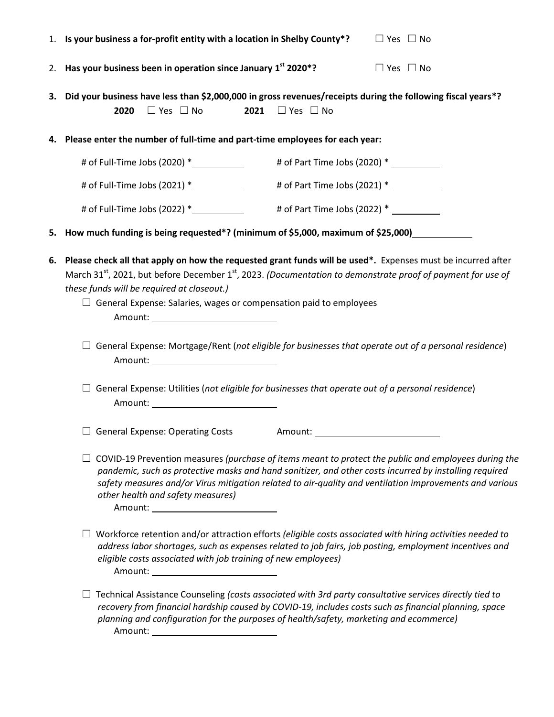|    | 1. Is your business a for-profit entity with a location in Shelby County*?<br>$\Box$ Yes $\Box$ No                                                                                                                                                                                                                                                                                                                                                                                                                                           |  |  |  |
|----|----------------------------------------------------------------------------------------------------------------------------------------------------------------------------------------------------------------------------------------------------------------------------------------------------------------------------------------------------------------------------------------------------------------------------------------------------------------------------------------------------------------------------------------------|--|--|--|
| 2. | Has your business been in operation since January 1st 2020*?<br>$\Box$ Yes $\Box$ No                                                                                                                                                                                                                                                                                                                                                                                                                                                         |  |  |  |
|    | 3. Did your business have less than \$2,000,000 in gross revenues/receipts during the following fiscal years*?<br>2020<br>$\Box$ Yes $\Box$ No<br>2021<br>$\Box$ Yes $\Box$ No                                                                                                                                                                                                                                                                                                                                                               |  |  |  |
|    | 4. Please enter the number of full-time and part-time employees for each year:                                                                                                                                                                                                                                                                                                                                                                                                                                                               |  |  |  |
|    | # of Full-Time Jobs (2020) * ___________                                                                                                                                                                                                                                                                                                                                                                                                                                                                                                     |  |  |  |
|    | # of Part Time Jobs (2021) * ___________<br># of Full-Time Jobs $(2021) *$                                                                                                                                                                                                                                                                                                                                                                                                                                                                   |  |  |  |
|    | # of Part Time Jobs (2022) *                                                                                                                                                                                                                                                                                                                                                                                                                                                                                                                 |  |  |  |
| 5. | How much funding is being requested*? (minimum of \$5,000, maximum of \$25,000)                                                                                                                                                                                                                                                                                                                                                                                                                                                              |  |  |  |
| 6. | Please check all that apply on how the requested grant funds will be used*. Expenses must be incurred after<br>March 31 <sup>st</sup> , 2021, but before December 1 <sup>st</sup> , 2023. (Documentation to demonstrate proof of payment for use of<br>these funds will be required at closeout.)<br>$\Box$ General Expense: Salaries, wages or compensation paid to employees<br>Amount: __________________________________<br>$\Box$ General Expense: Mortgage/Rent (not eligible for businesses that operate out of a personal residence) |  |  |  |
|    | Amount: _________________________________                                                                                                                                                                                                                                                                                                                                                                                                                                                                                                    |  |  |  |
|    | $\Box$ General Expense: Utilities (not eligible for businesses that operate out of a personal residence)                                                                                                                                                                                                                                                                                                                                                                                                                                     |  |  |  |
|    | <b>General Expense: Operating Costs</b><br>Amount:                                                                                                                                                                                                                                                                                                                                                                                                                                                                                           |  |  |  |
|    | COVID-19 Prevention measures (purchase of items meant to protect the public and employees during the<br>pandemic, such as protective masks and hand sanitizer, and other costs incurred by installing required<br>safety measures and/or Virus mitigation related to air-quality and ventilation improvements and various<br>other health and safety measures)<br>Amount: __________________________________                                                                                                                                 |  |  |  |
|    | Workforce retention and/or attraction efforts (eligible costs associated with hiring activities needed to<br>address labor shortages, such as expenses related to job fairs, job posting, employment incentives and<br>eligible costs associated with job training of new employees)<br>Amount: _____________________________                                                                                                                                                                                                                |  |  |  |
|    | Technical Assistance Counseling (costs associated with 3rd party consultative services directly tied to<br>recovery from financial hardship caused by COVID-19, includes costs such as financial planning, space<br>planning and configuration for the purposes of health/safety, marketing and ecommerce)<br>Amount: ____________________________                                                                                                                                                                                           |  |  |  |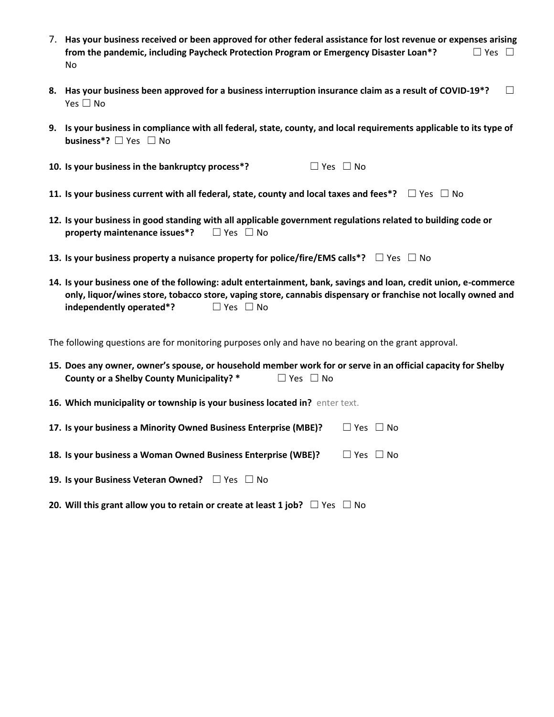- 7. **Has your business received or been approved for other federal assistance for lost revenue or expenses arising from the pandemic, including Paycheck Protection Program or Emergency Disaster Loan\*?** □ Yes □ No
- **8. Has your business been approved for a business interruption insurance claim as a result of COVID-19\*?** ☐ Yes □ No
- **9. Is your business in compliance with all federal, state, county, and local requirements applicable to its type of business<sup>\*</sup>?** □ Yes □ No
- **10. Is your business in the bankruptcy process<sup>\*</sup>? □ Yes □ No**
- **11.** Is your business current with all federal, state, county and local taxes and fees\*? □ Yes □ No
- **12. Is your business in good standing with all applicable government regulations related to building code or property maintenance issues\*?** □ Yes □ No
- **13.** Is your business property a nuisance property for police/fire/EMS calls\*? □ Yes □ No
- **14. Is your business one of the following: adult entertainment, bank, savings and loan, credit union, e-commerce only, liquor/wines store, tobacco store, vaping store, cannabis dispensary or franchise not locally owned and independently operated\*?** □ Yes □ No

The following questions are for monitoring purposes only and have no bearing on the grant approval.

|                                           | 15. Does any owner, owner's spouse, or household member work for or serve in an official capacity for Shelby |
|-------------------------------------------|--------------------------------------------------------------------------------------------------------------|
| County or a Shelby County Municipality? * | $\Box$ Yes $\Box$ No                                                                                         |

**16. Which municipality or township is your business located in?** enter text.

| 17. Is your business a Minority Owned Business Enterprise (MBE)? | $\Box$ Yes $\Box$ No |
|------------------------------------------------------------------|----------------------|
|------------------------------------------------------------------|----------------------|

| 18. Is your business a Woman Owned Business Enterprise (WBE)? | $\Box$ Yes $\Box$ No |
|---------------------------------------------------------------|----------------------|
|---------------------------------------------------------------|----------------------|

- **19. Is your Business Veteran Owned?** □ Yes □ No
- **20.** Will this grant allow you to retain or create at least 1 job? □ Yes □ No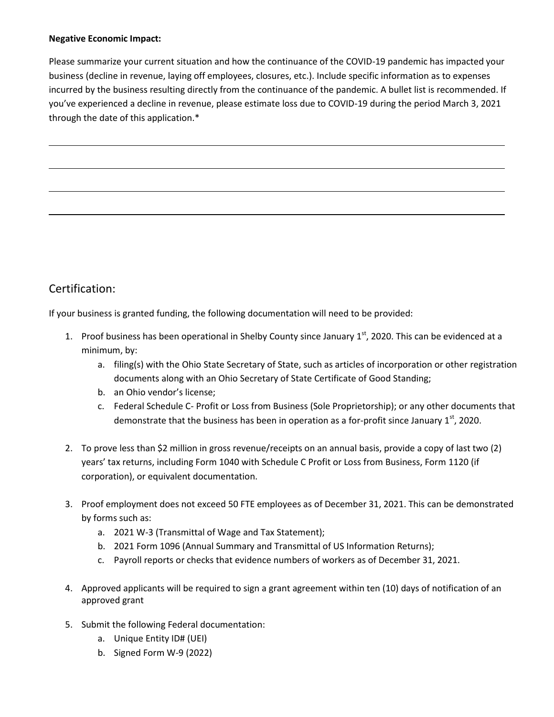#### **Negative Economic Impact:**

Please summarize your current situation and how the continuance of the COVID-19 pandemic has impacted your business (decline in revenue, laying off employees, closures, etc.). Include specific information as to expenses incurred by the business resulting directly from the continuance of the pandemic. A bullet list is recommended. If you've experienced a decline in revenue, please estimate loss due to COVID-19 during the period March 3, 2021 through the date of this application.\*

### Certification:

If your business is granted funding, the following documentation will need to be provided:

- 1. Proof business has been operational in Shelby County since January  $1^{st}$ , 2020. This can be evidenced at a minimum, by:
	- a. filing(s) with the Ohio State Secretary of State, such as articles of incorporation or other registration documents along with an Ohio Secretary of State Certificate of Good Standing;
	- b. an Ohio vendor's license;
	- c. Federal Schedule C- Profit or Loss from Business (Sole Proprietorship); or any other documents that demonstrate that the business has been in operation as a for-profit since January  $1<sup>st</sup>$ , 2020.
- 2. To prove less than \$2 million in gross revenue/receipts on an annual basis, provide a copy of last two (2) years' tax returns, including Form 1040 with Schedule C Profit or Loss from Business, Form 1120 (if corporation), or equivalent documentation.
- 3. Proof employment does not exceed 50 FTE employees as of December 31, 2021. This can be demonstrated by forms such as:
	- a. 2021 W-3 (Transmittal of Wage and Tax Statement);
	- b. 2021 Form 1096 (Annual Summary and Transmittal of US Information Returns);
	- c. Payroll reports or checks that evidence numbers of workers as of December 31, 2021.
- 4. Approved applicants will be required to sign a grant agreement within ten (10) days of notification of an approved grant
- 5. Submit the following Federal documentation:
	- a. Unique Entity ID# (UEI)
	- b. Signed Form W-9 (2022)